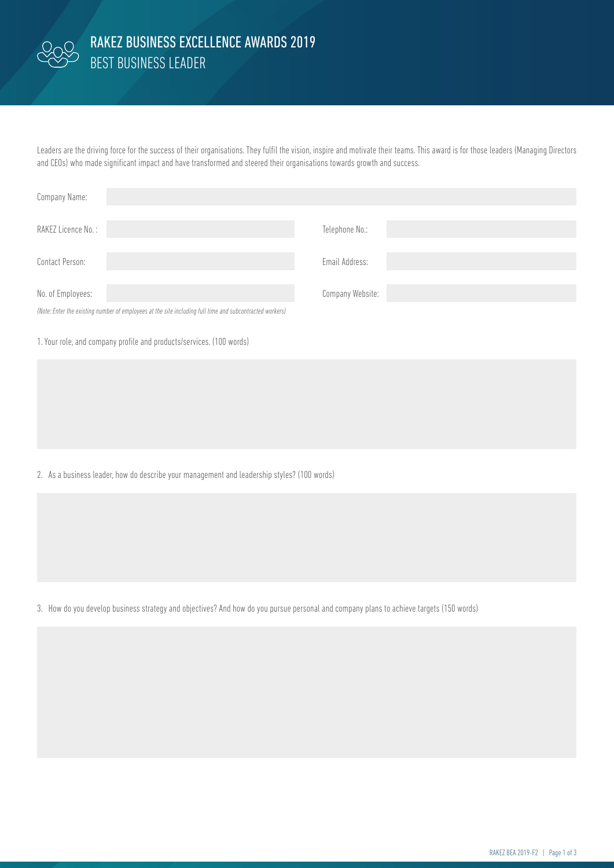

## BEST BUSINESS LEADER RAKEZ BUSINESS EXCELLENCE AWARDS 2019

Leaders are the driving force for the success of their organisations. They fulfil the vision, inspire and motivate their teams. This award is for those leaders (Managing Directors and CEOs) who made significant impact and have transformed and steered their organisations towards growth and success.

| Company Name:                                                                                            |                  |
|----------------------------------------------------------------------------------------------------------|------------------|
| RAKEZ Licence No.:                                                                                       | Telephone No.:   |
|                                                                                                          |                  |
| Contact Person:                                                                                          | Email Address:   |
| No. of Employees:                                                                                        | Company Website: |
| (Note: Enter the existing number of employees at the site including full time and subcontracted workers) |                  |

1. Your role, and company profile and products/services. (100 words)

2. As a business leader, how do describe your management and leadership styles? (100 words)

3. How do you develop business strategy and objectives? And how do you pursue personal and company plans to achieve targets (150 words)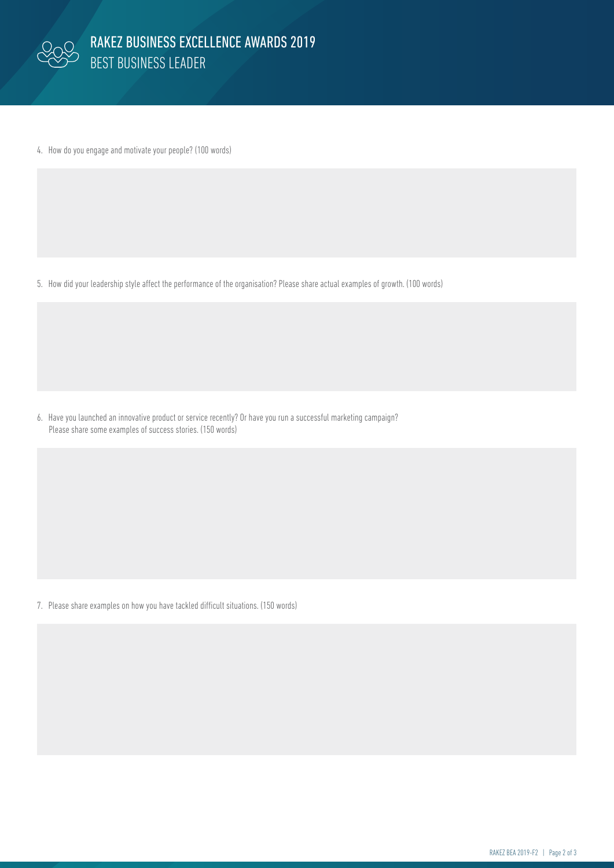

4. How do you engage and motivate your people? (100 words)

5. How did your leadership style affect the performance of the organisation? Please share actual examples of growth. (100 words)

6. Have you launched an innovative product or service recently? Or have you run a successful marketing campaign? Please share some examples of success stories. (150 words)

7. Please share examples on how you have tackled difficult situations. (150 words)